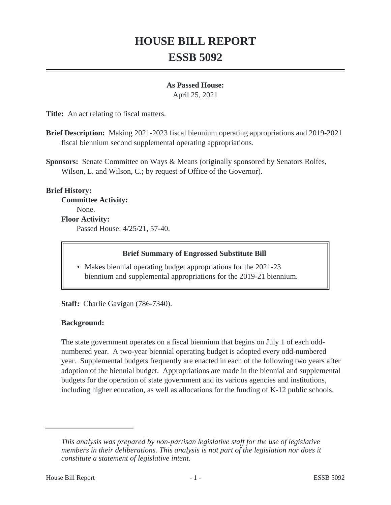# **HOUSE BILL REPORT ESSB 5092**

# **As Passed House:**

April 25, 2021

**Title:** An act relating to fiscal matters.

**Brief Description:** Making 2021-2023 fiscal biennium operating appropriations and 2019-2021 fiscal biennium second supplemental operating appropriations.

**Sponsors:** Senate Committee on Ways & Means (originally sponsored by Senators Rolfes, Wilson, L. and Wilson, C.; by request of Office of the Governor).

# **Brief History:**

**Committee Activity:** None. **Floor Activity:** Passed House: 4/25/21, 57-40.

#### **Brief Summary of Engrossed Substitute Bill**

• Makes biennial operating budget appropriations for the 2021-23 biennium and supplemental appropriations for the 2019-21 biennium.

**Staff:** Charlie Gavigan (786-7340).

# **Background:**

The state government operates on a fiscal biennium that begins on July 1 of each oddnumbered year. A two-year biennial operating budget is adopted every odd-numbered year. Supplemental budgets frequently are enacted in each of the following two years after adoption of the biennial budget. Appropriations are made in the biennial and supplemental budgets for the operation of state government and its various agencies and institutions, including higher education, as well as allocations for the funding of K-12 public schools.

*This analysis was prepared by non-partisan legislative staff for the use of legislative members in their deliberations. This analysis is not part of the legislation nor does it constitute a statement of legislative intent.*